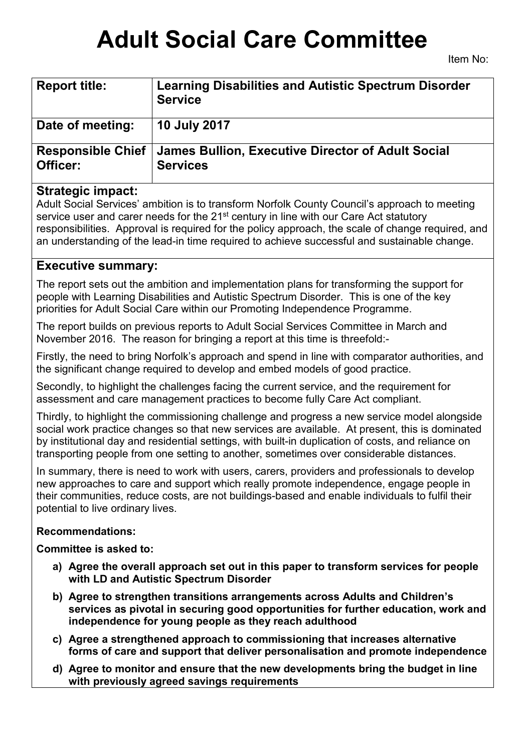# **Adult Social Care Committee**

| <b>Report title:</b>                 | <b>Learning Disabilities and Autistic Spectrum Disorder</b><br><b>Service</b> |
|--------------------------------------|-------------------------------------------------------------------------------|
| Date of meeting:                     | <b>10 July 2017</b>                                                           |
| <b>Responsible Chief</b><br>Officer: | <b>James Bullion, Executive Director of Adult Social</b><br><b>Services</b>   |

# **Strategic impact:**

Adult Social Services' ambition is to transform Norfolk County Council's approach to meeting service user and carer needs for the 21<sup>st</sup> century in line with our Care Act statutory responsibilities. Approval is required for the policy approach, the scale of change required, and an understanding of the lead-in time required to achieve successful and sustainable change.

# **Executive summary:**

The report sets out the ambition and implementation plans for transforming the support for people with Learning Disabilities and Autistic Spectrum Disorder. This is one of the key priorities for Adult Social Care within our Promoting Independence Programme.

The report builds on previous reports to Adult Social Services Committee in March and November 2016. The reason for bringing a report at this time is threefold:-

Firstly, the need to bring Norfolk's approach and spend in line with comparator authorities, and the significant change required to develop and embed models of good practice.

Secondly, to highlight the challenges facing the current service, and the requirement for assessment and care management practices to become fully Care Act compliant.

Thirdly, to highlight the commissioning challenge and progress a new service model alongside social work practice changes so that new services are available. At present, this is dominated by institutional day and residential settings, with built-in duplication of costs, and reliance on transporting people from one setting to another, sometimes over considerable distances.

In summary, there is need to work with users, carers, providers and professionals to develop new approaches to care and support which really promote independence, engage people in their communities, reduce costs, are not buildings-based and enable individuals to fulfil their potential to live ordinary lives.

# **Recommendations:**

**Committee is asked to:**

- **a) Agree the overall approach set out in this paper to transform services for people with LD and Autistic Spectrum Disorder**
- **b) Agree to strengthen transitions arrangements across Adults and Children's services as pivotal in securing good opportunities for further education, work and independence for young people as they reach adulthood**
- **c) Agree a strengthened approach to commissioning that increases alternative forms of care and support that deliver personalisation and promote independence**
- **d) Agree to monitor and ensure that the new developments bring the budget in line with previously agreed savings requirements**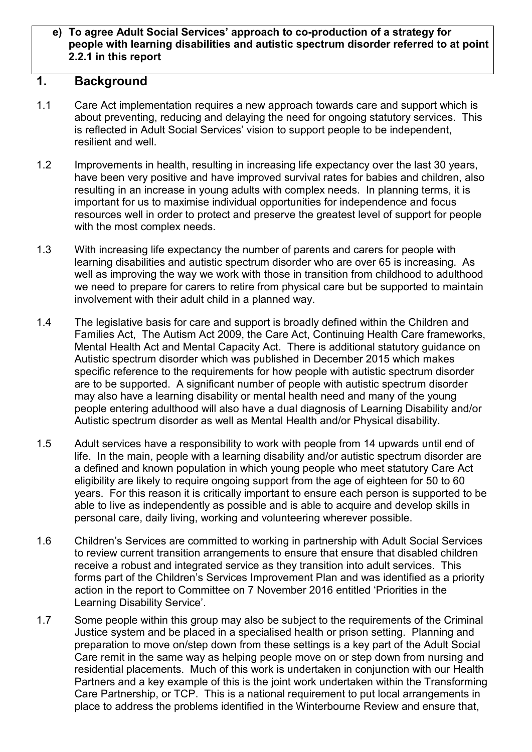#### **e) To agree Adult Social Services' approach to co-production of a strategy for people with learning disabilities and autistic spectrum disorder referred to at point 2.2.1 in this report**

## **1. Background**

- 1.1 Care Act implementation requires a new approach towards care and support which is about preventing, reducing and delaying the need for ongoing statutory services. This is reflected in Adult Social Services' vision to support people to be independent, resilient and well.
- 1.2 Improvements in health, resulting in increasing life expectancy over the last 30 years, have been very positive and have improved survival rates for babies and children, also resulting in an increase in young adults with complex needs. In planning terms, it is important for us to maximise individual opportunities for independence and focus resources well in order to protect and preserve the greatest level of support for people with the most complex needs.
- 1.3 With increasing life expectancy the number of parents and carers for people with learning disabilities and autistic spectrum disorder who are over 65 is increasing. As well as improving the way we work with those in transition from childhood to adulthood we need to prepare for carers to retire from physical care but be supported to maintain involvement with their adult child in a planned way.
- 1.4 The legislative basis for care and support is broadly defined within the Children and Families Act, The Autism Act 2009, the Care Act, Continuing Health Care frameworks, Mental Health Act and Mental Capacity Act. There is additional statutory guidance on Autistic spectrum disorder which was published in December 2015 which makes specific reference to the requirements for how people with autistic spectrum disorder are to be supported. A significant number of people with autistic spectrum disorder may also have a learning disability or mental health need and many of the young people entering adulthood will also have a dual diagnosis of Learning Disability and/or Autistic spectrum disorder as well as Mental Health and/or Physical disability.
- 1.5 Adult services have a responsibility to work with people from 14 upwards until end of life. In the main, people with a learning disability and/or autistic spectrum disorder are a defined and known population in which young people who meet statutory Care Act eligibility are likely to require ongoing support from the age of eighteen for 50 to 60 years. For this reason it is critically important to ensure each person is supported to be able to live as independently as possible and is able to acquire and develop skills in personal care, daily living, working and volunteering wherever possible.
- 1.6 Children's Services are committed to working in partnership with Adult Social Services to review current transition arrangements to ensure that ensure that disabled children receive a robust and integrated service as they transition into adult services. This forms part of the Children's Services Improvement Plan and was identified as a priority action in the report to Committee on 7 November 2016 entitled 'Priorities in the Learning Disability Service'.
- 1.7 Some people within this group may also be subject to the requirements of the Criminal Justice system and be placed in a specialised health or prison setting. Planning and preparation to move on/step down from these settings is a key part of the Adult Social Care remit in the same way as helping people move on or step down from nursing and residential placements. Much of this work is undertaken in conjunction with our Health Partners and a key example of this is the joint work undertaken within the Transforming Care Partnership, or TCP. This is a national requirement to put local arrangements in place to address the problems identified in the Winterbourne Review and ensure that,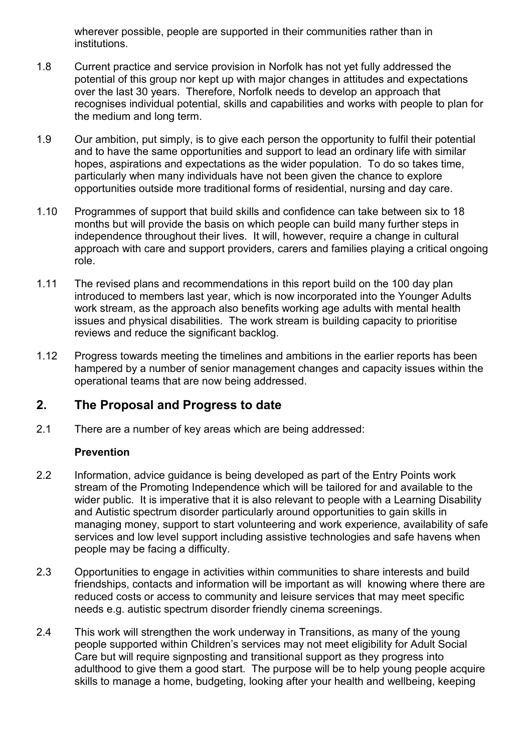wherever possible, people are supported in their communities rather than in institutions.

- 1.8 Current practice and service provision in Norfolk has not yet fully addressed the potential of this group nor kept up with major changes in attitudes and expectations over the last 30 years. Therefore, Norfolk needs to develop an approach that recognises individual potential, skills and capabilities and works with people to plan for the medium and long term.
- 1.9 Our ambition, put simply, is to give each person the opportunity to fulfil their potential and to have the same opportunities and support to lead an ordinary life with similar hopes, aspirations and expectations as the wider population. To do so takes time, particularly when many individuals have not been given the chance to explore opportunities outside more traditional forms of residential, nursing and day care.
- 1.10 Programmes of support that build skills and confidence can take between six to 18 months but will provide the basis on which people can build many further steps in independence throughout their lives. It will, however, require a change in cultural approach with care and support providers, carers and families playing a critical ongoing role.
- 1.11 The revised plans and recommendations in this report build on the 100 day plan introduced to members last year, which is now incorporated into the Younger Adults work stream, as the approach also benefits working age adults with mental health issues and physical disabilities. The work stream is building capacity to prioritise reviews and reduce the significant backlog.
- 1.12 Progress towards meeting the timelines and ambitions in the earlier reports has been hampered by a number of senior management changes and capacity issues within the operational teams that are now being addressed.

# **2. The Proposal and Progress to date**

2.1 There are a number of key areas which are being addressed:

#### **Prevention**

- 2.2 Information, advice guidance is being developed as part of the Entry Points work stream of the Promoting Independence which will be tailored for and available to the wider public. It is imperative that it is also relevant to people with a Learning Disability and Autistic spectrum disorder particularly around opportunities to gain skills in managing money, support to start volunteering and work experience, availability of safe services and low level support including assistive technologies and safe havens when people may be facing a difficulty.
- 2.3 Opportunities to engage in activities within communities to share interests and build friendships, contacts and information will be important as will knowing where there are reduced costs or access to community and leisure services that may meet specific needs e.g. autistic spectrum disorder friendly cinema screenings.
- 2.4 This work will strengthen the work underway in Transitions, as many of the young people supported within Children's services may not meet eligibility for Adult Social Care but will require signposting and transitional support as they progress into adulthood to give them a good start. The purpose will be to help young people acquire skills to manage a home, budgeting, looking after your health and wellbeing, keeping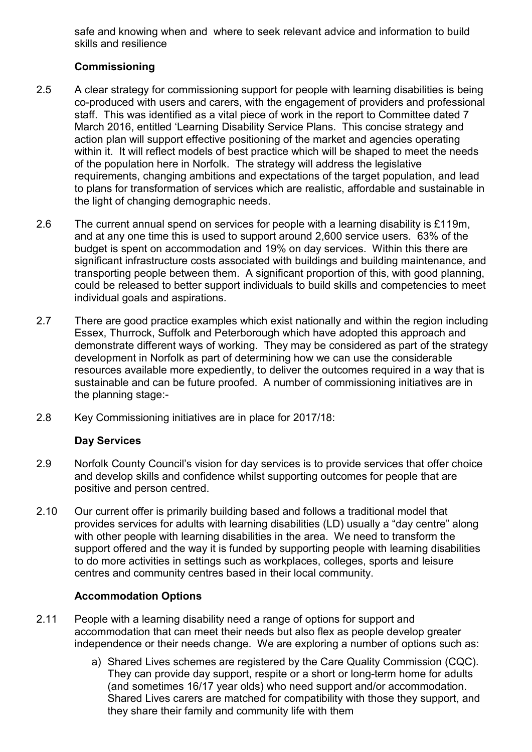safe and knowing when and where to seek relevant advice and information to build skills and resilience

## **Commissioning**

- 2.5 A clear strategy for commissioning support for people with learning disabilities is being co-produced with users and carers, with the engagement of providers and professional staff. This was identified as a vital piece of work in the report to Committee dated 7 March 2016, entitled 'Learning Disability Service Plans. This concise strategy and action plan will support effective positioning of the market and agencies operating within it. It will reflect models of best practice which will be shaped to meet the needs of the population here in Norfolk. The strategy will address the legislative requirements, changing ambitions and expectations of the target population, and lead to plans for transformation of services which are realistic, affordable and sustainable in the light of changing demographic needs.
- 2.6 The current annual spend on services for people with a learning disability is £119m, and at any one time this is used to support around 2,600 service users. 63% of the budget is spent on accommodation and 19% on day services. Within this there are significant infrastructure costs associated with buildings and building maintenance, and transporting people between them. A significant proportion of this, with good planning, could be released to better support individuals to build skills and competencies to meet individual goals and aspirations.
- 2.7 There are good practice examples which exist nationally and within the region including Essex, Thurrock, Suffolk and Peterborough which have adopted this approach and demonstrate different ways of working. They may be considered as part of the strategy development in Norfolk as part of determining how we can use the considerable resources available more expediently, to deliver the outcomes required in a way that is sustainable and can be future proofed. A number of commissioning initiatives are in the planning stage:-
- 2.8 Key Commissioning initiatives are in place for 2017/18:

#### **Day Services**

- 2.9 Norfolk County Council's vision for day services is to provide services that offer choice and develop skills and confidence whilst supporting outcomes for people that are positive and person centred.
- 2.10 Our current offer is primarily building based and follows a traditional model that provides services for adults with learning disabilities (LD) usually a "day centre" along with other people with learning disabilities in the area. We need to transform the support offered and the way it is funded by supporting people with learning disabilities to do more activities in settings such as workplaces, colleges, sports and leisure centres and community centres based in their local community.

#### **Accommodation Options**

- 2.11 People with a learning disability need a range of options for support and accommodation that can meet their needs but also flex as people develop greater independence or their needs change. We are exploring a number of options such as:
	- a) Shared Lives schemes are registered by the Care Quality Commission (CQC). They can provide day support, respite or a short or long-term home for adults (and sometimes 16/17 year olds) who need support and/or accommodation. Shared Lives carers are matched for compatibility with those they support, and they share their family and community life with them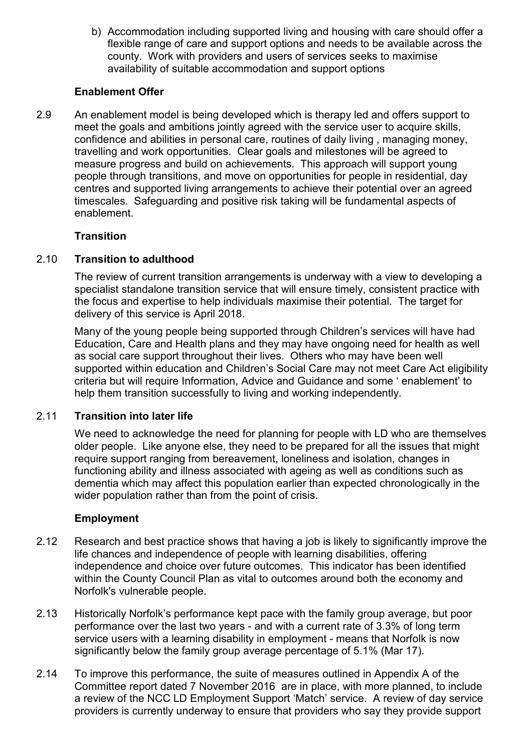b) Accommodation including supported living and housing with care should offer a flexible range of care and support options and needs to be available across the county. Work with providers and users of services seeks to maximise availability of suitable accommodation and support options

#### **Enablement Offer**

2.9 An enablement model is being developed which is therapy led and offers support to meet the goals and ambitions jointly agreed with the service user to acquire skills, confidence and abilities in personal care, routines of daily living , managing money, travelling and work opportunities. Clear goals and milestones will be agreed to measure progress and build on achievements. This approach will support young people through transitions, and move on opportunities for people in residential, day centres and supported living arrangements to achieve their potential over an agreed timescales. Safeguarding and positive risk taking will be fundamental aspects of enablement.

#### **Transition**

#### 2.10 **Transition to adulthood**

The review of current transition arrangements is underway with a view to developing a specialist standalone transition service that will ensure timely, consistent practice with the focus and expertise to help individuals maximise their potential. The target for delivery of this service is April 2018.

Many of the young people being supported through Children's services will have had Education, Care and Health plans and they may have ongoing need for health as well as social care support throughout their lives. Others who may have been well supported within education and Children's Social Care may not meet Care Act eligibility criteria but will require Information, Advice and Guidance and some ' enablement' to help them transition successfully to living and working independently.

#### 2.11 **Transition into later life**

We need to acknowledge the need for planning for people with LD who are themselves older people. Like anyone else, they need to be prepared for all the issues that might require support ranging from bereavement, loneliness and isolation, changes in functioning ability and illness associated with ageing as well as conditions such as dementia which may affect this population earlier than expected chronologically in the wider population rather than from the point of crisis.

#### **Employment**

- 2.12 Research and best practice shows that having a job is likely to significantly improve the life chances and independence of people with learning disabilities, offering independence and choice over future outcomes. This indicator has been identified within the County Council Plan as vital to outcomes around both the economy and Norfolk's vulnerable people.
- 2.13 Historically Norfolk's performance kept pace with the family group average, but poor performance over the last two years - and with a current rate of 3.3% of long term service users with a learning disability in employment - means that Norfolk is now significantly below the family group average percentage of 5.1% (Mar 17).
- 2.14 To improve this performance, the suite of measures outlined in Appendix A of the Committee report dated 7 November 2016 are in place, with more planned, to include a review of the NCC LD Employment Support 'Match' service. A review of day service providers is currently underway to ensure that providers who say they provide support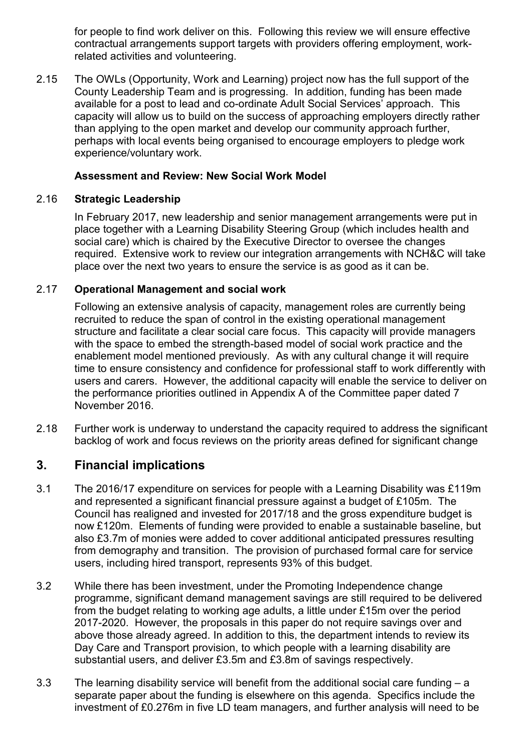for people to find work deliver on this. Following this review we will ensure effective contractual arrangements support targets with providers offering employment, workrelated activities and volunteering.

2.15 The OWLs (Opportunity, Work and Learning) project now has the full support of the County Leadership Team and is progressing. In addition, funding has been made available for a post to lead and co-ordinate Adult Social Services' approach. This capacity will allow us to build on the success of approaching employers directly rather than applying to the open market and develop our community approach further, perhaps with local events being organised to encourage employers to pledge work experience/voluntary work.

#### **Assessment and Review: New Social Work Model**

#### 2.16 **Strategic Leadership**

In February 2017, new leadership and senior management arrangements were put in place together with a Learning Disability Steering Group (which includes health and social care) which is chaired by the Executive Director to oversee the changes required. Extensive work to review our integration arrangements with NCH&C will take place over the next two years to ensure the service is as good as it can be.

#### 2.17 **Operational Management and social work**

Following an extensive analysis of capacity, management roles are currently being recruited to reduce the span of control in the existing operational management structure and facilitate a clear social care focus. This capacity will provide managers with the space to embed the strength-based model of social work practice and the enablement model mentioned previously. As with any cultural change it will require time to ensure consistency and confidence for professional staff to work differently with users and carers. However, the additional capacity will enable the service to deliver on the performance priorities outlined in Appendix A of the Committee paper dated 7 November 2016.

2.18 Further work is underway to understand the capacity required to address the significant backlog of work and focus reviews on the priority areas defined for significant change

# **3. Financial implications**

- 3.1 The 2016/17 expenditure on services for people with a Learning Disability was £119m and represented a significant financial pressure against a budget of £105m. The Council has realigned and invested for 2017/18 and the gross expenditure budget is now £120m. Elements of funding were provided to enable a sustainable baseline, but also £3.7m of monies were added to cover additional anticipated pressures resulting from demography and transition. The provision of purchased formal care for service users, including hired transport, represents 93% of this budget.
- 3.2 While there has been investment, under the Promoting Independence change programme, significant demand management savings are still required to be delivered from the budget relating to working age adults, a little under £15m over the period 2017-2020. However, the proposals in this paper do not require savings over and above those already agreed. In addition to this, the department intends to review its Day Care and Transport provision, to which people with a learning disability are substantial users, and deliver £3.5m and £3.8m of savings respectively.
- 3.3 The learning disability service will benefit from the additional social care funding a separate paper about the funding is elsewhere on this agenda. Specifics include the investment of £0.276m in five LD team managers, and further analysis will need to be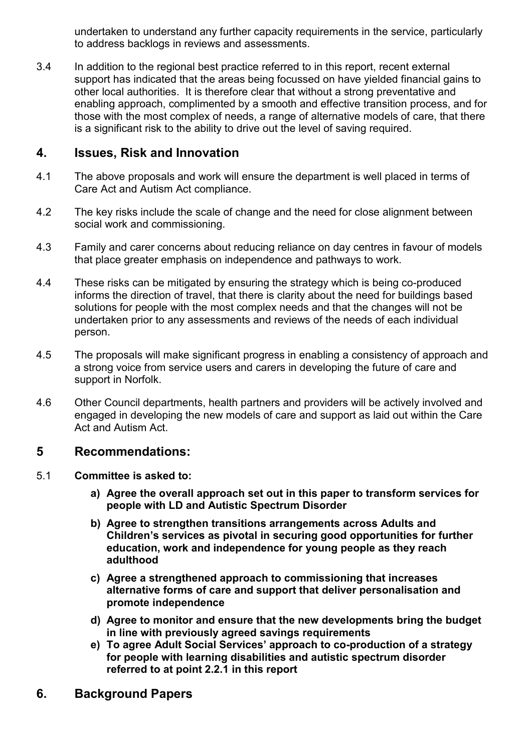undertaken to understand any further capacity requirements in the service, particularly to address backlogs in reviews and assessments.

3.4 In addition to the regional best practice referred to in this report, recent external support has indicated that the areas being focussed on have yielded financial gains to other local authorities. It is therefore clear that without a strong preventative and enabling approach, complimented by a smooth and effective transition process, and for those with the most complex of needs, a range of alternative models of care, that there is a significant risk to the ability to drive out the level of saving required.

# **4. Issues, Risk and Innovation**

- 4.1 The above proposals and work will ensure the department is well placed in terms of Care Act and Autism Act compliance.
- 4.2 The key risks include the scale of change and the need for close alignment between social work and commissioning.
- 4.3 Family and carer concerns about reducing reliance on day centres in favour of models that place greater emphasis on independence and pathways to work.
- 4.4 These risks can be mitigated by ensuring the strategy which is being co-produced informs the direction of travel, that there is clarity about the need for buildings based solutions for people with the most complex needs and that the changes will not be undertaken prior to any assessments and reviews of the needs of each individual person.
- 4.5 The proposals will make significant progress in enabling a consistency of approach and a strong voice from service users and carers in developing the future of care and support in Norfolk.
- 4.6 Other Council departments, health partners and providers will be actively involved and engaged in developing the new models of care and support as laid out within the Care Act and Autism Act.

# **5 Recommendations:**

- 5.1 **Committee is asked to:**
	- **a) Agree the overall approach set out in this paper to transform services for people with LD and Autistic Spectrum Disorder**
	- **b) Agree to strengthen transitions arrangements across Adults and Children's services as pivotal in securing good opportunities for further education, work and independence for young people as they reach adulthood**
	- **c) Agree a strengthened approach to commissioning that increases alternative forms of care and support that deliver personalisation and promote independence**
	- **d) Agree to monitor and ensure that the new developments bring the budget in line with previously agreed savings requirements**
	- **e) To agree Adult Social Services' approach to co-production of a strategy for people with learning disabilities and autistic spectrum disorder referred to at point 2.2.1 in this report**
- **6. Background Papers**